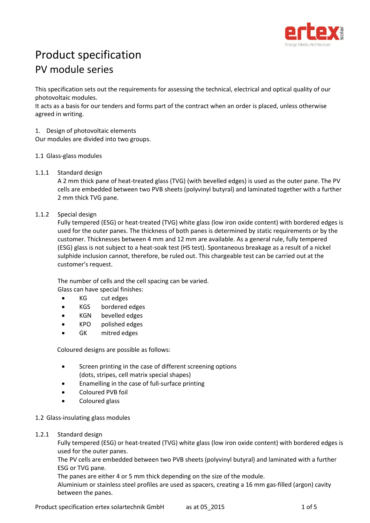

# Product specification PV module series

This specification sets out the requirements for assessing the technical, electrical and optical quality of our photovoltaic modules.

It acts as a basis for our tenders and forms part of the contract when an order is placed, unless otherwise agreed in writing.

1. Design of photovoltaic elements

Our modules are divided into two groups.

- 1.1 Glass-glass modules
- 1.1.1 Standard design

A 2 mm thick pane of heat-treated glass (TVG) (with bevelled edges) is used as the outer pane. The PV cells are embedded between two PVB sheets (polyvinyl butyral) and laminated together with a further 2 mm thick TVG pane.

# <span id="page-0-0"></span>1.1.2 Special design

Fully tempered (ESG) or heat-treated (TVG) white glass (low iron oxide content) with bordered edges is used for the outer panes. The thickness of both panes is determined by static requirements or by the customer. Thicknesses between 4 mm and 12 mm are available. As a general rule, fully tempered (ESG) glass is not subject to a heat-soak test (HS test). Spontaneous breakage as a result of a nickel sulphide inclusion cannot, therefore, be ruled out. This chargeable test can be carried out at the customer's request.

The number of cells and the cell spacing can be varied. Glass can have special finishes:

- KG cut edges
- KGS bordered edges
- KGN bevelled edges
- KPO polished edges
- GK mitred edges

Coloured designs are possible as follows:

- Screen printing in the case of different screening options (dots, stripes, cell matrix special shapes)
- Enamelling in the case of full-surface printing
- Coloured PVB foil
- Coloured glass

#### 1.2 Glass-insulating glass modules

1.2.1 Standard design

Fully tempered (ESG) or heat-treated (TVG) white glass (low iron oxide content) with bordered edges is used for the outer panes.

The PV cells are embedded between two PVB sheets (polyvinyl butyral) and laminated with a further ESG or TVG pane.

The panes are either 4 or 5 mm thick depending on the size of the module.

Aluminium or stainless steel profiles are used as spacers, creating a 16 mm gas-filled (argon) cavity between the panes.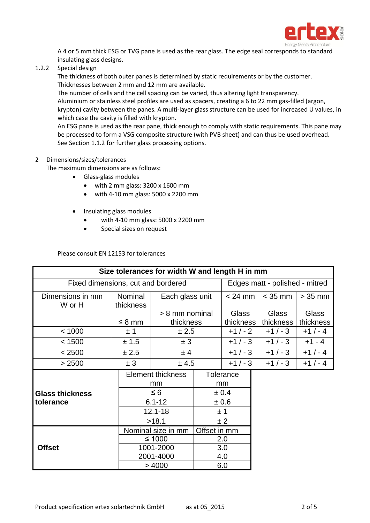

A 4 or 5 mm thick ESG or TVG pane is used as the rear glass. The edge seal corresponds to standard insulating glass designs.

1.2.2 Special design

The thickness of both outer panes is determined by static requirements or by the customer. Thicknesses between 2 mm and 12 mm are available.

The number of cells and the cell spacing can be varied, thus altering light transparency.

Aluminium or stainless steel profiles are used as spacers, creating a 6 to 22 mm gas-filled (argon, krypton) cavity between the panes. A multi-layer glass structure can be used for increased U values, in which case the cavity is filled with krypton.

An ESG pane is used as the rear pane, thick enough to comply with static requirements. This pane may be processed to form a VSG composite structure (with PVB sheet) and can thus be used overhead. See Sectio[n 1.1.2](#page-0-0) for further glass processing options.

# 2 Dimensions/sizes/tolerances

The maximum dimensions are as follows:

- Glass-glass modules
	- with 2 mm glass: 3200 x 1600 mm
	- with 4-10 mm glass: 5000 x 2200 mm
- Insulating glass modules
	- with 4-10 mm glass: 5000 x 2200 mm
	- **•** Special sizes on request

#### Please consult EN 12153 for tolerances

| Size tolerances for width W and length H in mm |             |                          |  |                                |           |              |  |  |
|------------------------------------------------|-------------|--------------------------|--|--------------------------------|-----------|--------------|--|--|
| Fixed dimensions, cut and bordered             |             |                          |  | Edges matt - polished - mitred |           |              |  |  |
| Dimensions in mm                               | Nominal     | Each glass unit          |  | $< 24$ mm                      | $<$ 35 mm | $> 35$ mm    |  |  |
| W or H                                         | thickness   |                          |  |                                |           |              |  |  |
|                                                |             | > 8 mm nominal           |  | Glass                          | Glass     | <b>Glass</b> |  |  |
|                                                | $\leq$ 8 mm | thickness                |  | thickness                      | thickness | thickness    |  |  |
| < 1000                                         | ±1          | ± 2.5                    |  | $+1/-2$                        | $+1/-3$   | $+1/-4$      |  |  |
| < 1500                                         | ± 1.5       | ± 3                      |  | $+1/-3$                        | $+1/-3$   | $+1 - 4$     |  |  |
| < 2500                                         | ± 2.5       | ± 4                      |  | $+1/-3$                        | $+1/-3$   | $+1/-4$      |  |  |
| > 2500                                         | ± 3         | ± 4.5                    |  | $+1/-3$                        | $+1/-3$   | $+1/-4$      |  |  |
|                                                |             | <b>Element thickness</b> |  | <b>Tolerance</b>               |           |              |  |  |
|                                                |             | mm                       |  | mm                             |           |              |  |  |
| <b>Glass thickness</b>                         |             | $\leq 6$                 |  | ± 0.4                          |           |              |  |  |
| tolerance                                      |             | $6.1 - 12$               |  | $\pm 0.6$                      |           |              |  |  |
|                                                |             | $12.1 - 18$              |  | ±1                             |           |              |  |  |
|                                                |             | >18.1                    |  | ± 2                            |           |              |  |  |
|                                                |             | Nominal size in mm       |  | Offset in mm                   |           |              |  |  |
|                                                |             | ≤ 1000                   |  | 2.0                            |           |              |  |  |
| <b>Offset</b>                                  |             | 1001-2000                |  | 3.0                            |           |              |  |  |
|                                                |             | 2001-4000                |  | 4.0                            |           |              |  |  |
|                                                |             | >4000                    |  | 6.0                            |           |              |  |  |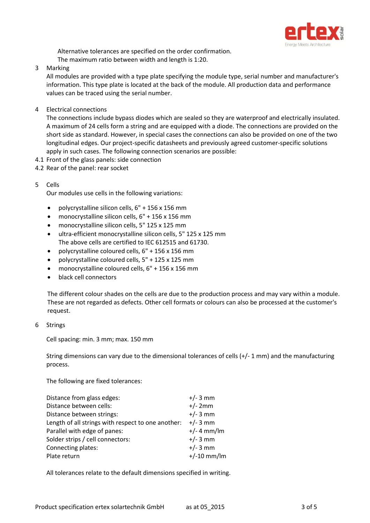

Alternative tolerances are specified on the order confirmation. The maximum ratio between width and length is 1:20.

#### 3 Marking

All modules are provided with a type plate specifying the module type, serial number and manufacturer's information. This type plate is located at the back of the module. All production data and performance values can be traced using the serial number.

4 Electrical connections

The connections include bypass diodes which are sealed so they are waterproof and electrically insulated. A maximum of 24 cells form a string and are equipped with a diode. The connections are provided on the short side as standard. However, in special cases the connections can also be provided on one of the two longitudinal edges. Our project-specific datasheets and previously agreed customer-specific solutions apply in such cases. The following connection scenarios are possible:

- 4.1 Front of the glass panels: side connection
- 4.2 Rear of the panel: rear socket

# 5 Cells

Our modules use cells in the following variations:

- polycrystalline silicon cells,  $6" + 156 \times 156$  mm
- monocrystalline silicon cells, 6" + 156 x 156 mm
- monocrystalline silicon cells, 5" 125 x 125 mm
- ultra-efficient monocrystalline silicon cells, 5" 125 x 125 mm The above cells are certified to IEC 612515 and 61730.
- polycrystalline coloured cells, 6" + 156 x 156 mm
- polycrystalline coloured cells, 5" + 125 x 125 mm
- monocrystalline coloured cells, 6" + 156 x 156 mm
- black cell connectors

The different colour shades on the cells are due to the production process and may vary within a module. These are not regarded as defects. Other cell formats or colours can also be processed at the customer's request.

6 Strings

Cell spacing: min. 3 mm; max. 150 mm

String dimensions can vary due to the dimensional tolerances of cells (+/- 1 mm) and the manufacturing process.

The following are fixed tolerances:

| Distance from glass edges:                         | $+/- 3$ mm    |  |
|----------------------------------------------------|---------------|--|
| Distance between cells:                            | $+/- 2mm$     |  |
| Distance between strings:                          | $+/- 3$ mm    |  |
| Length of all strings with respect to one another: | $+/- 3$ mm    |  |
| Parallel with edge of panes:                       | $+/- 4$ mm/lm |  |
| Solder strips / cell connectors:                   | $+/- 3$ mm    |  |
| Connecting plates:                                 | $+/- 3$ mm    |  |
| Plate return                                       | $+/-10$ mm/lm |  |
|                                                    |               |  |

All tolerances relate to the default dimensions specified in writing.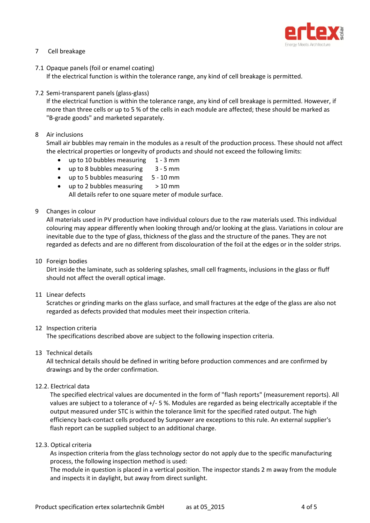

# 7 Cell breakage

7.1 Opaque panels (foil or enamel coating)

If the electrical function is within the tolerance range, any kind of cell breakage is permitted.

7.2 Semi-transparent panels (glass-glass)

If the electrical function is within the tolerance range, any kind of cell breakage is permitted. However, if more than three cells or up to 5 % of the cells in each module are affected; these should be marked as "B-grade goods" and marketed separately.

8 Air inclusions

Small air bubbles may remain in the modules as a result of the production process. These should not affect the electrical properties or longevity of products and should not exceed the following limits:

- up to 10 bubbles measuring 1 3 mm
- up to 8 bubbles measuring 3 5 mm
- up to 5 bubbles measuring 5 10 mm
- up to 2 bubbles measuring  $> 10$  mm

All details refer to one square meter of module surface.

9 Changes in colour

All materials used in PV production have individual colours due to the raw materials used. This individual colouring may appear differently when looking through and/or looking at the glass. Variations in colour are inevitable due to the type of glass, thickness of the glass and the structure of the panes. They are not regarded as defects and are no different from discolouration of the foil at the edges or in the solder strips.

10 Foreign bodies

Dirt inside the laminate, such as soldering splashes, small cell fragments, inclusions in the glass or fluff should not affect the overall optical image.

11 Linear defects

Scratches or grinding marks on the glass surface, and small fractures at the edge of the glass are also not regarded as defects provided that modules meet their inspection criteria.

12 Inspection criteria

The specifications described above are subject to the following inspection criteria.

13 Technical details

All technical details should be defined in writing before production commences and are confirmed by drawings and by the order confirmation.

12.2. Electrical data

The specified electrical values are documented in the form of "flash reports" (measurement reports). All values are subject to a tolerance of +/- 5 %. Modules are regarded as being electrically acceptable if the output measured under STC is within the tolerance limit for the specified rated output. The high efficiency back-contact cells produced by Sunpower are exceptions to this rule. An external supplier's flash report can be supplied subject to an additional charge.

12.3. Optical criteria

As inspection criteria from the glass technology sector do not apply due to the specific manufacturing process, the following inspection method is used:

The module in question is placed in a vertical position. The inspector stands 2 m away from the module and inspects it in daylight, but away from direct sunlight.